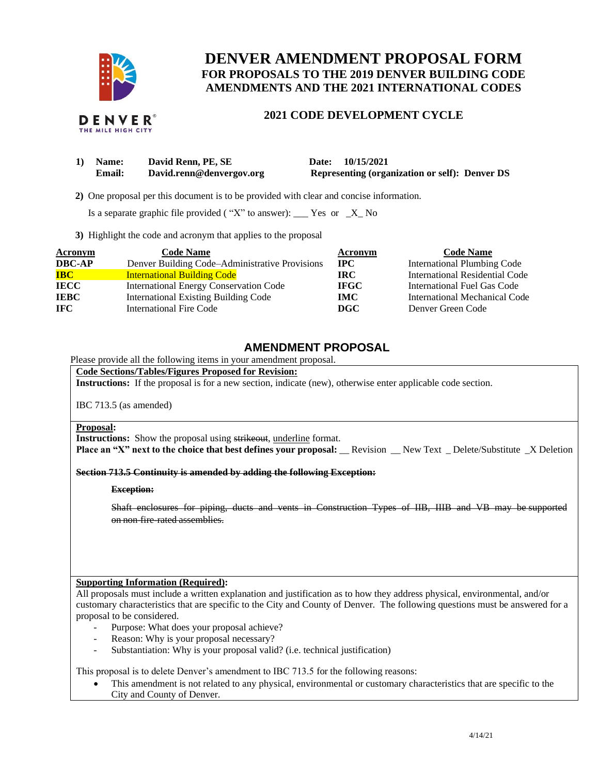

# **DENVER AMENDMENT PROPOSAL FORM FOR PROPOSALS TO THE 2019 DENVER BUILDING CODE AMENDMENTS AND THE 2021 INTERNATIONAL CODES**

## **2021 CODE DEVELOPMENT CYCLE**

| 1) Name:      | David Renn, PE, SE       | Date: 10/15/2021                                      |  |
|---------------|--------------------------|-------------------------------------------------------|--|
| <b>Email:</b> | David.renn@denvergov.org | <b>Representing (organization or self): Denver DS</b> |  |

 **2)** One proposal per this document is to be provided with clear and concise information.

Is a separate graphic file provided ("X" to answer): \_\_\_ Yes or  $-X$  No

**3)** Highlight the code and acronym that applies to the proposal

| <b>Acronym</b> | <b>Code Name</b>                               | Acronym      | <b>Code Name</b>                   |
|----------------|------------------------------------------------|--------------|------------------------------------|
| <b>DBC-AP</b>  | Denver Building Code–Administrative Provisions | $_{\rm IPC}$ | <b>International Plumbing Code</b> |
| <b>IBC</b>     | <b>International Building Code</b>             | IRC.         | International Residential Code     |
| <b>IECC</b>    | <b>International Energy Conservation Code</b>  | <b>IFGC</b>  | International Fuel Gas Code        |
| <b>IEBC</b>    | <b>International Existing Building Code</b>    | <b>IMC</b>   | International Mechanical Code      |
| IFC.           | <b>International Fire Code</b>                 | <b>DGC</b>   | Denver Green Code                  |

## **AMENDMENT PROPOSAL**

Please provide all the following items in your amendment proposal.

### **Code Sections/Tables/Figures Proposed for Revision:**

**Instructions:** If the proposal is for a new section, indicate (new), otherwise enter applicable code section.

IBC 713.5 (as amended)

#### **Proposal:**

**Instructions:** Show the proposal using strikeout, underline format.

**Place an "X" next to the choice that best defines your proposal:** \_\_Revision \_\_New Text \_ Delete/Substitute \_X Deletion

**Section 713.5 Continuity is amended by adding the following Exception:**

#### **Exception:**

Shaft enclosures for piping, ducts and vents in Construction Types of IIB, IIIB and VB may be supported on non-fire-rated assemblies.

### **Supporting Information (Required):**

All proposals must include a written explanation and justification as to how they address physical, environmental, and/or customary characteristics that are specific to the City and County of Denver. The following questions must be answered for a proposal to be considered.

- Purpose: What does your proposal achieve?
- Reason: Why is your proposal necessary?
- Substantiation: Why is your proposal valid? (i.e. technical justification)

This proposal is to delete Denver's amendment to IBC 713.5 for the following reasons:

• This amendment is not related to any physical, environmental or customary characteristics that are specific to the City and County of Denver.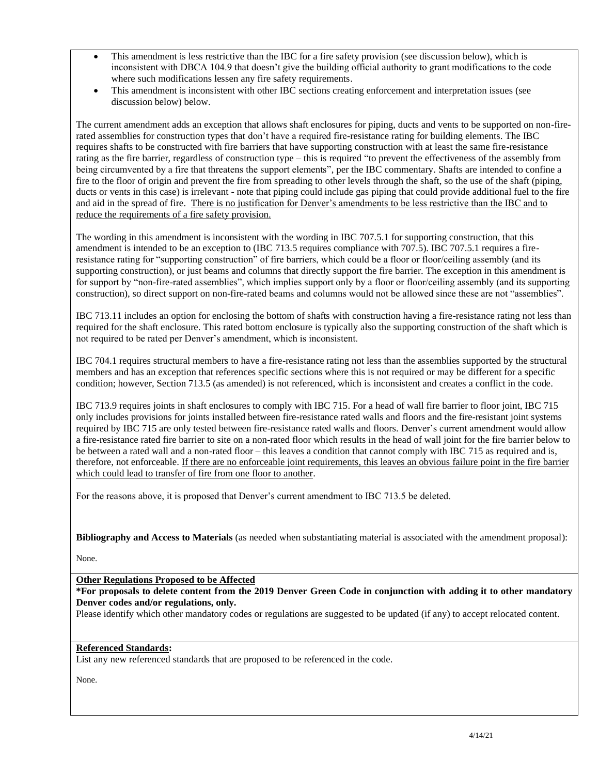- This amendment is less restrictive than the IBC for a fire safety provision (see discussion below), which is inconsistent with DBCA 104.9 that doesn't give the building official authority to grant modifications to the code where such modifications lessen any fire safety requirements.
- This amendment is inconsistent with other IBC sections creating enforcement and interpretation issues (see discussion below) below.

The current amendment adds an exception that allows shaft enclosures for piping, ducts and vents to be supported on non-firerated assemblies for construction types that don't have a required fire-resistance rating for building elements. The IBC requires shafts to be constructed with fire barriers that have supporting construction with at least the same fire-resistance rating as the fire barrier, regardless of construction type – this is required "to prevent the effectiveness of the assembly from being circumvented by a fire that threatens the support elements", per the IBC commentary. Shafts are intended to confine a fire to the floor of origin and prevent the fire from spreading to other levels through the shaft, so the use of the shaft (piping, ducts or vents in this case) is irrelevant - note that piping could include gas piping that could provide additional fuel to the fire and aid in the spread of fire. There is no justification for Denver's amendments to be less restrictive than the IBC and to reduce the requirements of a fire safety provision.

The wording in this amendment is inconsistent with the wording in IBC 707.5.1 for supporting construction, that this amendment is intended to be an exception to (IBC 713.5 requires compliance with 707.5). IBC 707.5.1 requires a fireresistance rating for "supporting construction" of fire barriers, which could be a floor or floor/ceiling assembly (and its supporting construction), or just beams and columns that directly support the fire barrier. The exception in this amendment is for support by "non-fire-rated assemblies", which implies support only by a floor or floor/ceiling assembly (and its supporting construction), so direct support on non-fire-rated beams and columns would not be allowed since these are not "assemblies".

IBC 713.11 includes an option for enclosing the bottom of shafts with construction having a fire-resistance rating not less than required for the shaft enclosure. This rated bottom enclosure is typically also the supporting construction of the shaft which is not required to be rated per Denver's amendment, which is inconsistent.

IBC 704.1 requires structural members to have a fire-resistance rating not less than the assemblies supported by the structural members and has an exception that references specific sections where this is not required or may be different for a specific condition; however, Section 713.5 (as amended) is not referenced, which is inconsistent and creates a conflict in the code.

IBC 713.9 requires joints in shaft enclosures to comply with IBC 715. For a head of wall fire barrier to floor joint, IBC 715 only includes provisions for joints installed between fire-resistance rated walls and floors and the fire-resistant joint systems required by IBC 715 are only tested between fire-resistance rated walls and floors. Denver's current amendment would allow a fire-resistance rated fire barrier to site on a non-rated floor which results in the head of wall joint for the fire barrier below to be between a rated wall and a non-rated floor – this leaves a condition that cannot comply with IBC 715 as required and is, therefore, not enforceable. If there are no enforceable joint requirements, this leaves an obvious failure point in the fire barrier which could lead to transfer of fire from one floor to another.

For the reasons above, it is proposed that Denver's current amendment to IBC 713.5 be deleted.

**Bibliography and Access to Materials** (as needed when substantiating material is associated with the amendment proposal):

None.

**Other Regulations Proposed to be Affected**

**\*For proposals to delete content from the 2019 Denver Green Code in conjunction with adding it to other mandatory Denver codes and/or regulations, only.**

Please identify which other mandatory codes or regulations are suggested to be updated (if any) to accept relocated content.

## **Referenced Standards:**

List any new referenced standards that are proposed to be referenced in the code.

None.